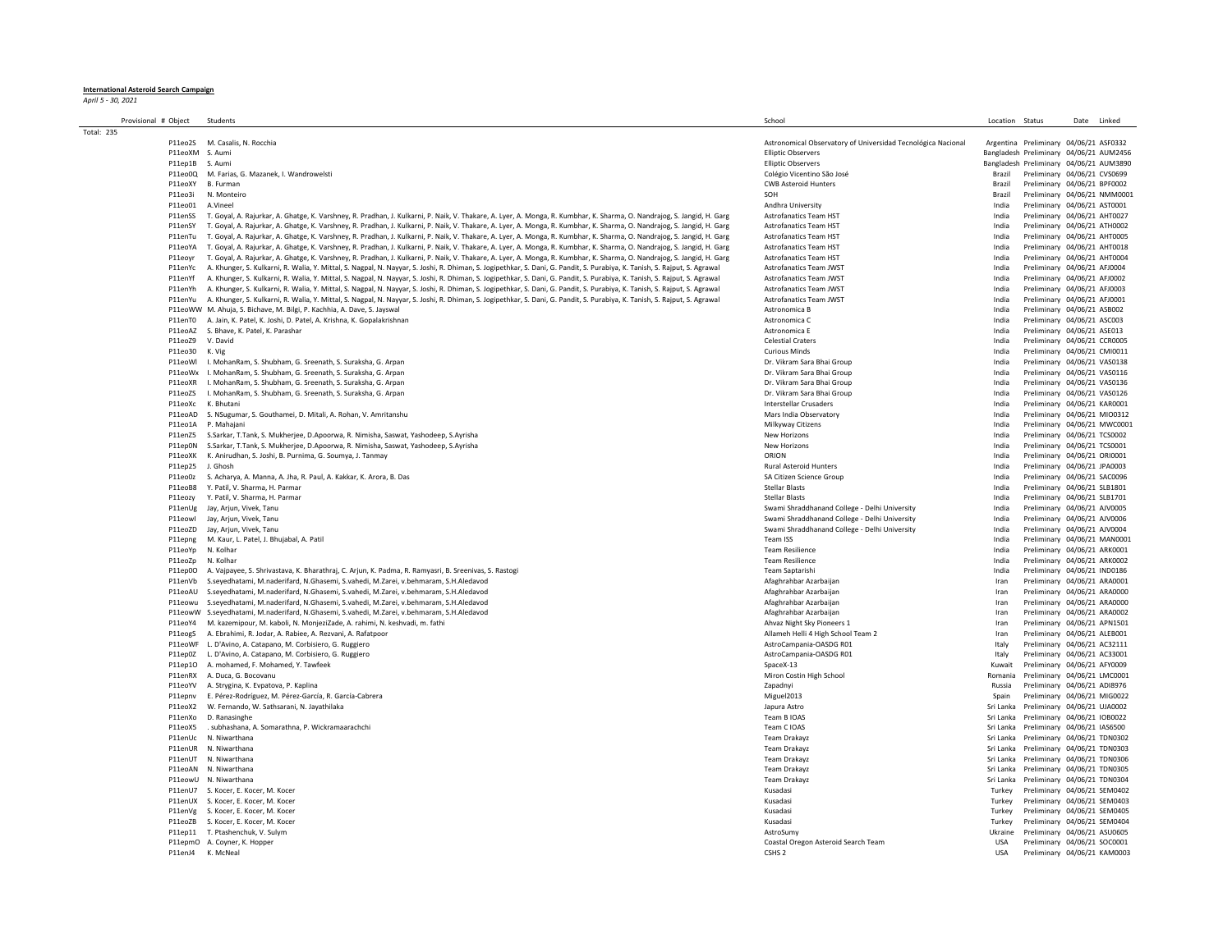## **International Asteroid Search Campaign** *April 5 - 30, 2021*

| Provisional # Object |                   | Students                                                                                                                                                                   | School                                                       | Location Status |                                         | Date Linked |  |
|----------------------|-------------------|----------------------------------------------------------------------------------------------------------------------------------------------------------------------------|--------------------------------------------------------------|-----------------|-----------------------------------------|-------------|--|
| <b>Total: 235</b>    |                   |                                                                                                                                                                            |                                                              |                 |                                         |             |  |
|                      | P11eo2S           | M. Casalis, N. Rocchia                                                                                                                                                     | Astronomical Observatory of Universidad Tecnológica Nacional |                 | Argentina Preliminary 04/06/21 ASF0332  |             |  |
|                      | P11eoXM S. Aumi   |                                                                                                                                                                            | <b>Elliptic Observers</b>                                    |                 | Bangladesh Preliminary 04/06/21 AUM2456 |             |  |
|                      | P11ep1B           | S. Aumi                                                                                                                                                                    | <b>Ellintic Observers</b>                                    |                 | Bangladesh Preliminary 04/06/21 AUM3890 |             |  |
|                      | P11eo0Q           | M. Farias, G. Mazanek, I. Wandrowelsti                                                                                                                                     | Colégio Vicentino São José                                   | Brazil          | Preliminary 04/06/21 CVS0699            |             |  |
|                      | P11eoXY           | B. Furman                                                                                                                                                                  | <b>CWB Asteroid Hunters</b>                                  | Brazil          | Preliminary 04/06/21 BPF0002            |             |  |
|                      | P11eo3i           | N. Monteiro                                                                                                                                                                | SOH                                                          | Brazil          | Preliminary 04/06/21 NMM000             |             |  |
|                      | P11eo01           | A.Vinee                                                                                                                                                                    | Andhra University                                            | India           | Preliminary 04/06/21 AST0001            |             |  |
|                      | P11enSS           | T. Goyal, A. Rajurkar, A. Ghatge, K. Varshney, R. Pradhan, J. Kulkarni, P. Naik, V. Thakare, A. Lyer, A. Monga, R. Kumbhar, K. Sharma, O. Nandrajog, S. Jangid, H. Garg    | <b>Astrofanatics Team HST</b>                                | India           | Preliminary 04/06/21 AHT0027            |             |  |
|                      | P11enSY           | T. Goyal, A. Rajurkar, A. Ghatge, K. Varshney, R. Pradhan, J. Kulkarni, P. Naik, V. Thakare, A. Lyer, A. Monga, R. Kumbhar, K. Sharma, O. Nandrajog, S. Jangid, H. Garg    | <b>Astrofanatics Team HST</b>                                | India           | Preliminary 04/06/21 ATH0002            |             |  |
|                      | P11enTu           | T. Goyal, A. Rajurkar, A. Ghatge, K. Varshney, R. Pradhan, J. Kulkarni, P. Naik, V. Thakare, A. Lyer, A. Monga, R. Kumbhar, K. Sharma, O. Nandrajog, S. Jangid, H. Garg    | <b>Astrofanatics Team HST</b>                                | India           | Preliminary 04/06/21 AHT0005            |             |  |
|                      | P11eoYA           | T. Goyal, A. Rajurkar, A. Ghatge, K. Varshney, R. Pradhan, J. Kulkarni, P. Naik, V. Thakare, A. Lyer, A. Monga, R. Kumbhar, K. Sharma, O. Nandrajog, S. Jangid, H. Garg    | <b>Astrofanatics Team HST</b>                                | India           | Preliminary 04/06/21 AHT0018            |             |  |
|                      | P11eovr           | T. Goyal, A. Rajurkar, A. Ghatge, K. Varshney, R. Pradhan, J. Kulkarni, P. Naik, V. Thakare, A. Lyer, A. Monga, R. Kumbhar, K. Sharma, O. Nandrajog, S. Jangid, H. Garg    | <b>Astrofanatics Team HST</b>                                | India           | Preliminary 04/06/21 AHT0004            |             |  |
|                      | P11enYc           | A. Khunger, S. Kulkarni, R. Walia, Y. Mittal, S. Nagpal, N. Nayyar, S. Joshi, R. Dhiman, S. Jogipethkar, S. Dani, G. Pandit, S. Purabiya, K. Tanish, S. Rajput, S. Agrawal | Astrofanatics Team JWST                                      | India           | Preliminary 04/06/21 AFJ0004            |             |  |
|                      | P11enYf           | A. Khunger, S. Kulkarni, R. Walia, Y. Mittal, S. Nagpal, N. Nayyar, S. Joshi, R. Dhiman, S. Jogipethkar, S. Dani, G. Pandit, S. Purabiya, K. Tanish, S. Rajput, S. Agrawal | Astrofanatics Team JWST                                      | India           | Preliminary 04/06/21 AFJ0002            |             |  |
|                      | P11enYh           | A. Khunger, S. Kulkarni, R. Walia, Y. Mittal, S. Nagpal, N. Nayyar, S. Joshi, R. Dhiman, S. Jogipethkar, S. Dani, G. Pandit, S. Purabiya, K. Tanish, S. Rajput, S. Agrawal | Astrofanatics Team JWST                                      | India           | Preliminary 04/06/21 AFJ0003            |             |  |
|                      | P11enYu           | A. Khunger, S. Kulkarni, R. Walia, Y. Mittal, S. Nagpal, N. Nayyar, S. Joshi, R. Dhiman, S. Jogipethkar, S. Dani, G. Pandit, S. Purabiya, K. Tanish, S. Rajput, S. Agrawal | Astrofanatics Team JWST                                      | India           | Preliminary 04/06/21 AFJ0001            |             |  |
|                      |                   | P11eoWW M. Ahuja, S. Bichave, M. Bilgi, P. Kachhia, A. Dave, S. Jayswal                                                                                                    | Astronomica B                                                | India           | Preliminary 04/06/21 ASB002             |             |  |
|                      | P11enT0           | A. Jain, K. Patel, K. Joshi, D. Patel, A. Krishna, K. Gopalakrishnan                                                                                                       | Astronomica C                                                | India           | Preliminary 04/06/21 ASC003             |             |  |
|                      | P11eoAZ           | S. Bhave, K. Patel, K. Parashar                                                                                                                                            | Astronomica E                                                | India           | Preliminary 04/06/21 ASE013             |             |  |
|                      | P11eoZ9           | V. David                                                                                                                                                                   | <b>Celestial Craters</b>                                     | India           | Preliminary 04/06/21 CCR0005            |             |  |
|                      | P11eo30           | K. Vig                                                                                                                                                                     | <b>Curious Minds</b>                                         | India           | Preliminary 04/06/21 CMI0011            |             |  |
|                      | P11eoWl           | I. MohanRam, S. Shubham, G. Sreenath, S. Suraksha, G. Arpan                                                                                                                | Dr. Vikram Sara Bhai Group                                   | India           | Preliminary 04/06/21 VAS0138            |             |  |
|                      | P11eoWx           | I. MohanRam, S. Shubham, G. Sreenath, S. Suraksha, G. Arpan                                                                                                                | Dr. Vikram Sara Bhai Group                                   | India           | Preliminary 04/06/21 VAS0116            |             |  |
|                      | P11eoXR           | I. MohanRam, S. Shubham, G. Sreenath, S. Suraksha, G. Arpan                                                                                                                | Dr. Vikram Sara Bhai Group                                   | India           | Preliminary 04/06/21 VAS0136            |             |  |
|                      | P11eoZS           | I. MohanRam, S. Shubham, G. Sreenath, S. Suraksha, G. Arpan                                                                                                                | Dr. Vikram Sara Bhai Group                                   | India           | Preliminary 04/06/21 VAS0126            |             |  |
|                      | P11eoXc           | K. Bhutani                                                                                                                                                                 | Interstellar Crusaders                                       | India           | Preliminary 04/06/21 KAR0001            |             |  |
|                      | P11eoAD           | S. NSugumar, S. Gouthamei, D. Mitali, A. Rohan, V. Amritanshu                                                                                                              | Mars India Observatory                                       | India           | Preliminary 04/06/21 MIO0312            |             |  |
|                      | P11eo1A           | P. Mahaiani                                                                                                                                                                | Milkyway Citizens                                            | India           | Preliminary 04/06/21 MWC000             |             |  |
|                      | P11enZ5           | S.Sarkar, T.Tank, S. Mukherjee, D.Apoorwa, R. Nimisha, Saswat, Yashodeep, S.Ayrisha                                                                                        | New Horizons                                                 | India           | Preliminary 04/06/21 TCS0002            |             |  |
|                      | P11ep0N           | S.Sarkar, T.Tank, S. Mukherjee, D.Apoorwa, R. Nimisha, Saswat, Yashodeep, S.Ayrisha                                                                                        | New Horizons                                                 | India           | Preliminary 04/06/21 TCS0001            |             |  |
|                      | P11eoXK           | K. Anirudhan, S. Joshi, B. Purnima, G. Soumya, J. Tanmay                                                                                                                   | ORION                                                        | India           | Preliminary 04/06/21 ORI0001            |             |  |
|                      | P11ep25           | L Ghosh                                                                                                                                                                    | <b>Rural Asteroid Hunters</b>                                | India           | Preliminary 04/06/21 JPA0003            |             |  |
|                      | P11eo0z           | S. Acharya, A. Manna, A. Jha, R. Paul, A. Kakkar, K. Arora, B. Das                                                                                                         | SA Citizen Science Group                                     | India           | Preliminary 04/06/21 SAC0096            |             |  |
|                      | P11eoB8           | Y. Patil, V. Sharma, H. Parmar                                                                                                                                             | <b>Stellar Blasts</b>                                        | India           | Preliminary 04/06/21 SLB1801            |             |  |
|                      | P11eozv           | Y. Patil, V. Sharma, H. Parmar                                                                                                                                             | <b>Stellar Blasts</b>                                        | India           | Preliminary 04/06/21 SLB1701            |             |  |
|                      | P11enUg           | Jay, Arjun, Vivek, Tanu                                                                                                                                                    | Swami Shraddhanand College - Delhi University                | India           | Preliminary 04/06/21 AJV0005            |             |  |
|                      | P11eowl           | Jay, Arjun, Vivek, Tanu                                                                                                                                                    | Swami Shraddhanand College - Delhi University                | India           | Preliminary 04/06/21 AJV0006            |             |  |
|                      | P11eoZD           | Jay, Arjun, Vivek, Tanu                                                                                                                                                    | Swami Shraddhanand College - Delhi University                | India           | Preliminary 04/06/21 AJV0004            |             |  |
|                      | P11epng           | M. Kaur, L. Patel, J. Bhujabal, A. Patil                                                                                                                                   | Team ISS                                                     | India           | Preliminary 04/06/21 MAN0001            |             |  |
|                      | P11eoYp           | N. Kolhar                                                                                                                                                                  | <b>Team Resilience</b>                                       | India           | Preliminary 04/06/21 ARK0001            |             |  |
|                      | P11eoZp           | N. Kolhai                                                                                                                                                                  | <b>Team Resilience</b>                                       | India           | Preliminary 04/06/21 ARK0002            |             |  |
|                      | P11ep0O           | A. Vajpayee, S. Shrivastava, K. Bharathraj, C. Arjun, K. Padma, R. Ramyasri, B. Sreenivas, S. Rastogi                                                                      | Team Saptarishi                                              | India           | Preliminary 04/06/21 IND0186            |             |  |
|                      | P11enVh           | S.seyedhatami, M.naderifard, N.Ghasemi, S.vahedi, M.Zarei, v.behmaram, S.H.Aledavod                                                                                        | Afaghrahbar Azarbaijan                                       | Iran            | Preliminary 04/06/21 ARA0001            |             |  |
|                      | P11eoAU           | S.seyedhatami, M.naderifard, N.Ghasemi, S.vahedi, M.Zarei, v.behmaram, S.H.Aledavod                                                                                        | Afaghrahbar Azarbaijan                                       | Iran            | Preliminary 04/06/21 ARA0000            |             |  |
|                      | P11eowu           | S.seyedhatami, M.naderifard, N.Ghasemi, S.vahedi, M.Zarei, v.behmaram, S.H.Aledavod                                                                                        | Afaghrahbar Azarbaijan                                       | Iran            | Preliminary 04/06/21 ARA0000            |             |  |
|                      |                   | P11eowW S.seyedhatami, M.naderifard, N.Ghasemi, S.vahedi, M.Zarei, v.behmaram, S.H.Aledavod                                                                                | Afaghrahbar Azarbaijan                                       | Iran            | Preliminary 04/06/21 ARA0002            |             |  |
|                      | P11eoY4           | M. kazemipour, M. kaboli, N. MonjeziZade, A. rahimi, N. keshvadi, m. fathi                                                                                                 | Ahvaz Night Sky Pioneers 1                                   | Iran            | Preliminary 04/06/21 APN1501            |             |  |
|                      | P11eogS           | A. Ebrahimi, R. Jodar, A. Rabiee, A. Rezvani, A. Rafatpoor                                                                                                                 | Allameh Helli 4 High School Team 2                           | Iran            | Preliminary 04/06/21 ALEB001            |             |  |
|                      |                   | P11eoWF L. D'Avino, A. Catapano, M. Corbisiero, G. Ruggiero                                                                                                                | AstroCampania-OASDG R01                                      | Italy           | Preliminary 04/06/21 AC32111            |             |  |
|                      |                   | P11ep0Z L. D'Avino, A. Catapano, M. Corbisiero, G. Ruggiero                                                                                                                | AstroCampania-OASDG R01                                      | Italy           | Preliminary 04/06/21 AC33001            |             |  |
|                      | P11ep10           | A. mohamed, F. Mohamed, Y. Tawfeek                                                                                                                                         | SpaceX-13                                                    | Kuwait          | Preliminary 04/06/21 AFY0009            |             |  |
|                      | P11enRX           | A. Duca, G. Bocovanu                                                                                                                                                       | Miron Costin High School                                     | Romania         | Preliminary 04/06/21 LMC0001            |             |  |
|                      | P11eoYV           | A. Strygina, K. Evpatova, P. Kaplina                                                                                                                                       | Zapadnyi                                                     | Russia          | Preliminary 04/06/21 ADI8976            |             |  |
|                      | P11epnv           | E. Pérez-Rodríguez, M. Pérez-García, R. García-Cabrera                                                                                                                     | Miguel2013                                                   | Spain           | Preliminary 04/06/21 MIG0022            |             |  |
|                      | P11eoX2           | W. Fernando, W. Sathsarani, N. Jayathilaka                                                                                                                                 | Japura Astro                                                 | Sri Lanka       | Preliminary 04/06/21 UJA0002            |             |  |
|                      | P11enXo           | D. Ranasinghe                                                                                                                                                              | Team B IOAS                                                  | Sri Lanka       | Preliminary 04/06/21 IOB0022            |             |  |
|                      | P11eoX5           | . subhashana, A. Somarathna, P. Wickramaarachchi                                                                                                                           | Team C IOAS                                                  | Sri Lanka       | Preliminary 04/06/21 IAS6500            |             |  |
|                      | P11enUc           | N. Niwarthana                                                                                                                                                              | Team Drakayz                                                 | Sri Lanka       | Preliminary 04/06/21 TDN0302            |             |  |
|                      | P11enUR           | N. Niwarthana                                                                                                                                                              | Team Drakayz                                                 | Sri Lanka       | Preliminary 04/06/21 TDN0303            |             |  |
|                      |                   | P11enUT N. Niwarthana                                                                                                                                                      | Team Drakayz                                                 | Sri Lanka       | Preliminary 04/06/21 TDN0306            |             |  |
|                      |                   | P11eoAN N. Niwarthana                                                                                                                                                      | Team Drakayz                                                 | Sri Lanka       | Preliminary 04/06/21 TDN0305            |             |  |
|                      |                   | P11eowU N. Niwarthana                                                                                                                                                      | Team Drakayz                                                 |                 | Sri Lanka Preliminary 04/06/21 TDN0304  |             |  |
|                      |                   | P11enU7 S. Kocer, E. Kocer, M. Kocer                                                                                                                                       | Kusadasi                                                     | Turkey          | Preliminary 04/06/21 SEM0402            |             |  |
|                      |                   | P11enUX S. Kocer, E. Kocer, M. Kocer                                                                                                                                       | Kusadasi                                                     | Turkey          | Preliminary 04/06/21 SEM0403            |             |  |
|                      |                   | P11enVg S. Kocer, E. Kocer, M. Kocer                                                                                                                                       | Kusadasi                                                     | Turkey          | Preliminary 04/06/21 SEM0405            |             |  |
|                      |                   | P11eoZB S. Kocer, F. Kocer, M. Kocer                                                                                                                                       | Kusadasi                                                     | Turkey          | Preliminary 04/06/21 SEM0404            |             |  |
|                      |                   | P11ep11 T. Ptashenchuk, V. Sulym                                                                                                                                           | AstroSumy                                                    | Ukraine         | Preliminary 04/06/21 ASU0605            |             |  |
|                      |                   | P11epmO A. Coyner, K. Hopper                                                                                                                                               | Coastal Oregon Asteroid Search Team                          | USA             | Preliminary 04/06/21 SOC0001            |             |  |
|                      | P11enJ4 K. McNeal |                                                                                                                                                                            | CSHS <sub>2</sub>                                            | <b>USA</b>      | Preliminary 04/06/21 KAM0003            |             |  |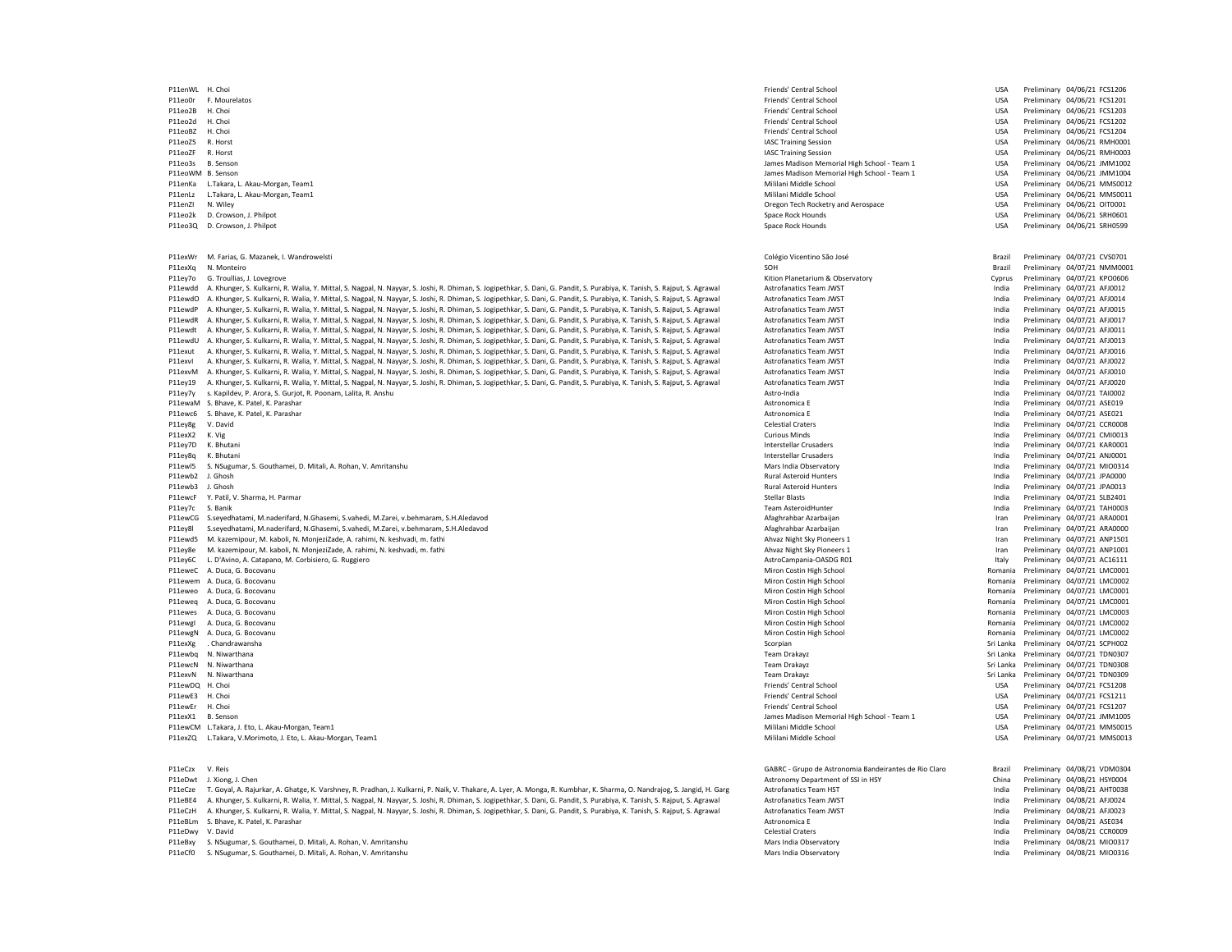P11eo0r F. Mourelatos enterprise and the second of the second of the second of the second of the control School USA Preliminary 04/06/21 FCS1201 Priends' Central School Priends' Central School USA Preliminary 04/06/21 FCS1 P11eo2B H. Choi USA Preliminary 04/06/21 FCS1203 P11eo2d H. Choi Friends' Central School USA Preliminary 04/06/21 FCS1202 P11eoBZ H. Choi USA Preliminary 04/06/21 FCS1204 P11eoZ5 R. Horst Philosophysion USA Preliminary 04/06/21 RMH0001 NASC Training Session USA Preliminary 04/06/21 RMH0001 P11eoZF R. Horst North International December 2012 of the USA Preliminary 04/06/21 RMH0003 P11eo3s B. Senson Memorial High School - Team 1 USA Preliminary 04/06/21 JMM1002<br>P11eoWM B. Senson Preliminary 04/06/21 JMM1004 Patter School - Team 1 USA Preliminary 04/06/21 JMM1004 P11eoWM B. Senson USA Preliminary 04/06/21 JMM1004<br>P11enKa L.Takara, L. Akau-Morgan, Team1 Preliminary 04/06/21 JMM1004 Preliminary 04/06/21 MM50012 P11enKa L.Takara, L. Akau-Morgan, Team1 and the material memberidae of the Mililani Middle School Mililani Middle School Mililani Middle School USA Preliminary 04/06/21 MMS0012<br>P11enLz L.Takara, L. Akau-Morgan, Team1 and t P11enLz L.Takara, L. Akau-Morgan, Team1 Mililani Middle School and The School And The Late of the USA Preliminary 04/06/21 Mililani Middle School USA Preliminary 04/06/21 Mililani Middle School USA Preliminary 04/06/200110 P11enZI N. Wiley Oregon Tech Rocketry and Aerospace USA Preliminary 04/06/21 OIT0001 enten and the Space Rock Hounds (SALE) of Disk Preliminary 04/06/21 SRH0601<br>P11eo3Q D. Crowson, J. Philpot Space Rock Hounds (SALE) Space Rock Hounds (SALE) DISA Preliminary 04/06/21 SRH0599 P11eo3Q D. Crowson, J. Philpot P11exWr M. Farias, G. Mazanek, I. Wandrowelsti Nature and March 2002 of the Colégio Vicentino São José Colégio Vicentino São José Brazil Preliminary 04/07/21 CVS0701<br>Prievxo N. Monteiro Natural Preliminary 04/07/21 NMM0001 P11exXq N. Monteiro SOH Brazil Preliminary 04/07/21 NMM0001 P11ey7o G. Troullias, J. Lovegrove 2017/21 KPO0606 NATURE 2017 21: Alter and Supervatory Kition Planetarium & Observatory Cyprus Preliminary 04/07/21 KPO0606 .<br>P11ewdd A. Khunger, S. Kulkarni, R. Walia, Y. Mittal, S. Nagpal, N. Nayyar, S. Joshi, R. Dhiman, S. Jogipethkar, S. Dani, G. Pandit, S. Purabiya, K. Tanish, S. Rajput, S. Agrawal Astrofanatics Team JWST . . . . . . . . . P11ewdO A. Khunger, S. Kulkarni, R. Walia, Y. Mittal, S. Nagpal, N. Nayyar, S. Joshi, R. Dhiman, S. Jogipethkar, S. Dani, G. Pandit, S. Purabiya, K. Tanish, S. Raiput, S. Agrawal P11ewdP A. Khunger, S. Kulkarni, R. Walia, Y. Mittal, S. Nagpal, N. Nayyar, S. Joshi, R. Dhiman, S. Jogipethkar, S. Dani, G. Pandit, S. Purabiya, K. Tanish, S. Rajput, S. Agguy, A. Joshi Astrofanatics Team JWST Pand Must a P11ewdR A. Khunger, S. Kulkarni, R. Walia, Y. Mittal, S. Nagpal, N. Nayyar, S. Joshi, R. Dhiman, S. Jogipethkar, S. Dani, G. Pandit, S. Purabiya, K. Tanish, S. Rajput, S. Aggust and Astrofanatics Team JWST and the states o P11ewdt A. Khunger, S. Kulkarni, R. Walia, Y. Mittal, S. Nagpal, N. Nayyar, S. Joshi, R. Dhiman, S. Jogipethkar, S. Dani, G. Pandit, S. Purabiya, K. Tanish, S. Rajput, S. Agrawal P11ewdU A. Khunger, S. Kulkarni, R. Walia, Y. Mittal, S. Nagpal, N. Nayyar, S. Joshi, R. Dhiman, S. Jogipethkar, S. Dani, G. Pandit, S. Purabiya, K. Tanish, S. Rajput, S. Agguy, A. Joshi Astrofanatics Team JWST and Members P11exut A. Khunger, S. Kulkarni, R. Walia, Y. Mittal, S. Nagpal, N. Nayyar, S. Joshi, R. Dhiman, S. Jogipethkar, S. Dani, G. Pandit, S. Purabiya, K. Tanish, S. Rajput, S. Agrawal Astrofanatics Team JWST and the state of th P11exvl A. Khunger, S. Kulkarni, R. Walia, Y. Mittal, S. Nagpal, N. Nayyar, S. Joshi, R. Dhiman, S. Jogipethkar, S. Dani, G. Pandit, S. Purabiya, K. Tanish, S. Rajput, S. Agrawal Astrofanatics Team JWST Same S. Milan Preli PliewM A. Khunger, S. Kulkarni, R. Walia, Y. Mittal, S. No. A. Michael A. S. And A. S. And A. S. And A. S. And A. S. And A. S. And A. S. And A. S. And A. S. And A. S. And A. S. And A. S. And A. S. And A. S. And A. S. And A P11ey19 A. Khunger, S. Kulkarni, R. Walia, Y. Mittal, S. Nagpal, N. Nayyar, S. Joshi, R. Dhiman, S. Jogipethkar, S. Dani, G. Pandit, S. Purabiya, K. Tanish, S. Rajput, S. Agrawal Astrofanatics Team JWST and the standing Pr P11ey7y s. Kapildev, P. Arora, S. Gurjot, R. Poonam, Lalita, R. Anshu Astro-India Preliminary attro-India Preliminary attro-India Preliminary 04/07/21 TAI0002<br>P11ewaM S. Bhave. K. Parel. K. Parashar 04/07/21 ASE019 P11ewaM S. Bhave, K. Patel, K. Parashar Astronomica E Astronomica E Astronomica E India Preliminary 04/07/21 ASE019 P11ewc6 S. Bhave, K. Patel, K. Parashar Astronomica E Astronomica E Astronomica E India Preliminary 04/07/21 ASE021 P11ey8g V. David Preliminary 04/07/21 CCR0008 (Particle and Security Celestial Craters Felix Craters Feliminary 04/07/21 CCR0008 P11exX2 K. Vig India Preliminary 04/07/21 CMI0013 P11ey7D K. Bhutani Interstellar Crusaders India Preliminary 04/07/21 KAR0001 P11ey8q K. Bhutani Interstellar Crusaders India Preliminary 04/07/21 ANJ0001 P11ewl5 S. NSugumar, S. Gouthamei, D. Mitali, A. Rohan, V. Amritanshu Mars India Discovery Mars India Observatory Mars India Observatory Mars India Preliminary 04/07/21 MIO0314<br>P11ewb2 J. Ghosh Preliminary 04/07/21 JPA0000 P11ewb2 J. Ghosh Rural Asteroid Hunters India Preliminary 04/07/21 JPA0000 P11ewb3 J. Ghosh Philaderoid Hunters Parameters and the reliminary 04/07/21 JPA0013 PAD013 PAD013 PREliminary 04/07/21 JPA0013 P11ewcF Y. Patil, V. Sharma, H. Parmar Campara, H. Parmar Campara Stellar Blasts Stellar Blasts Stellar Blasts Stellar Blasts Stellar Blasts India Preliminary 04/07/21 SLB2401<br>Parmar Stellar Blastic Stellar Depliminary 04/ P11ey7c S. Banik Preliminary 04/07/21 TAH0003 (Particular and Security Team AsteroidHunter Feam AsteroidHunter Feam AsteroidHunter India Preliminary 04/07/21 TAH0003 P11ewCG S.seyedhatami M.naderifard, N.Ghasemi, S.vahedi, M.Zarei, v.behmaram, S.H.Aledavod Amerika Amerikan Amerikani, Amerikan Iran Preliminary 04/07/21 ARA0001 P11ey8l S.seyedhatami, M.naderifard, N.Ghasemi, S.vahedi, M.Zarei, v.behmaram, S.H.Aledavod **Afaghrahbar Azarbaijan Afaghrahbar Azarbaijan** Iran Preliminary 04/07/21 ARA0000 P11ewd5 M. kazemipour, M. kaboli, N. MonjeziZade, A. rahimi, N. keshvadi, m. fathi Ahvaz Night Sky Pioneers 1 Ahvaz Night Sky Pioneers 1 Iran Preliminary 04/07/21 ANP1501<br>P11ew8e M. kazemipour M. kaboli N. MonieziZade A. P11ey8e M. kazeminour, M. kaboli, N. MonjeziZade, A. rahimi, N. keshvadi, m. fathi Ahvaz Night Sky Pioneers 1 Iran Preliminary 04/07/2010 Manaz Night Sky Pioneers 1 Iran Preliminary 04/07/2010 P11ey6C L. D'Avino, A. Catapano, M. Corbisiero, G. Ruggiero 
and and and and and and and and and astroCampania-OASDG R01 Italy Preliminary 04/07/21 AC16111 P11eweC A. Duca, G. Bocovanu **1992–1993**<br>P11ewem A. Duca, G. Bocovanu 1992/21 LMC0001 Niver Description Preliminary 04/07/21 LMC0002<br>P11ewem A. Duca, G. Bocovanu 1992/21 LMC0002 P11eweo A. Duca, G. Bocovanu 20/07/21 LMC0001 P11eweo A. Duca, G. Bocovanu Deliminary 04/07/21 LMC0001 P11eweq<br>P11eweq A. Duca, G. Bocovanu 20/07/21 LMC0001 Deliminary 04/07/21 LMC0001 P11eweq A. Duca, G. Bocovanu Prelimin P11eweq A. Duca, G. Bocovanu Miron Costin High School Romania Preliminary 04/07/21 LMC0001 P11ewgI A. Duca, G. Bocovanu 20/07/21 LMC0002 P11ewgI A. Duca, G. Bocovanu Democranic Preliminary 04/07/21 LMC0002<br>P11ewgN A. Duca, G. Bocovanu 20/07/21 LMC0002 Democranic Preliminary 04/07/21 LMC0002 P11ewgN A. Duca, G. Bocovanu Miron Costin High School Romania Preliminary 04/07/21 LMC0002 P11exXg . Chandrawansha Scorpian Sri Lanka Preliminary 04/07/21 SCPH002 P11ewbq N. Niwarthana **Professional Control Control Control Control Control Control Control Control Control Control Control Control Control Control Control Control Control Control Control Control Control Control Control Co** P11ewcN N. Niwarthana Sri Lanka Preliminary 04/07/21 TDN0308 P11eam Drakayz Team Drakayz Sri Lanka Preliminary 04/07/21 TDN0308 P11exvN N. Niwarthana 2017/21 TDN0309 (Sri Lanka Preliminary 04/07/21 TDN0309 P11exvN N. Niwarthana 2017/21 TDN0309<br>P11ewDO H. Choi Preliminary 04/07/21 FCS1208 P11ewDQ H. Choi USA Preliminary 04/07/21 FCS1208 P11ewE3 H. Choi USA Preliminary 04/07/21 FCS1211 P11ewEr H. Choi USA Preliminary 04/07/21 FCS1207 (Particle School Friends' Central School USA Preliminary 04/07/21 FCS1207 P11exX1 B. Senson USA Preliminary 04/07/21 JMM1005<br>P11ewCM L.Takara.J. Eto.L.Akau-Morgan.Team1 Preliminary 04/07/21 JMM1005 P11ewCM L.Takara.J. Eto.L.Akau-Morgan P11ewCM L.Takara. J. Eto. L. Akau-Morgan. Team1 Mililani Middle School USA Preliminary 04/07/21 Mililani Middle School USA Preliminary 04/07/21 Mililani Middle School USA Preliminary 04/07/21 Mililani Middle School USA P11exZQ L.Takara, V.Morimoto, J. Eto, L. Akau-Morgan, Team1 Mililani Middle School Mililani Middle School USA Preliminary 04/07/21 MMS0013 P11eCzx V. Reis Preliminary 04/08/21 VDM0304<br>P11eDwt L. Xiona. L. Chen Preliminary 04/08/21 HSY0004 Particulary of China Preliminary 04/08/21 HSY0004 P11eDwt J. Xiong, J. Chen Preliminary 04/08/21 HSY0004 (2012) Astronomy Department of SSI in HSY China Preliminary 04/08/21 HSY0004 .<br>P11eCze T. Goyal, A. Rajurkar, A. Ghatge, K. Varshney, R. Pradhan, J. Kukarni, P. Naik, V. Thakare, A. Lyer, A. Monga, R. Kumbhar, K. Sharma, O. Nandrajog, S. Jangid, H. Garg Astrofanatics Team HST Market States and Drel P11eRF4 A Khunger S Kulkarni R Walia Y Mittal S Nagnal N Nawar S Inshi R Dhiman S Inginethkar S Dani G Pandit S Purahiya K Tanish S Rainut S Agrawal Astrofanatics Team IWST P11eCzH A. Khunger, S. Kulkarni, R. Walia, Y. Mittal, S. Nagpal, N. Nayyar, S. Joshi, R. Dhiman, S. Jogipethkar, S. Dani, G. Pandit, S. Purabiya, K. Tanish, S. Rajput, S. Agput, S. Agrawal Astrofanatics Team JWST emaily an P11eBLm S. Bhave, K. Patel, K. Parashar Calcular Astronomica E Astronomica E India Preliminary 04/08/21 ASE034<br>P11eDwy V. David Preliminary 04/08/21 CCR0009 P11eDwy V. David Celestial Craters India Preliminary 04/08/21 CCR0009 and P11eBxy S. NSugumar, S. Gouthamei, D. Mitali, A. Rohan, V. Amritanshu Mars India Preliminary of Dash and Mars India Observatory Mars India Observatory and Mars India Oreliminary 04/08/21 MIO0316<br>P11eCfO S. NSugumar, S. P11eCf0 S. NSugumar, S. Gouthamei, D. Mitali, A. Rohan, V. Amritanshu Mars India Observatory India Preliminary 04/08/21 Mars India Observatory India

P11enWL H. Choi USA Preliminary 04/06/21 FCS1206 Romania Preliminary 04/07/21 LMC0002 Romania Preliminary 04/07/21 LMC0003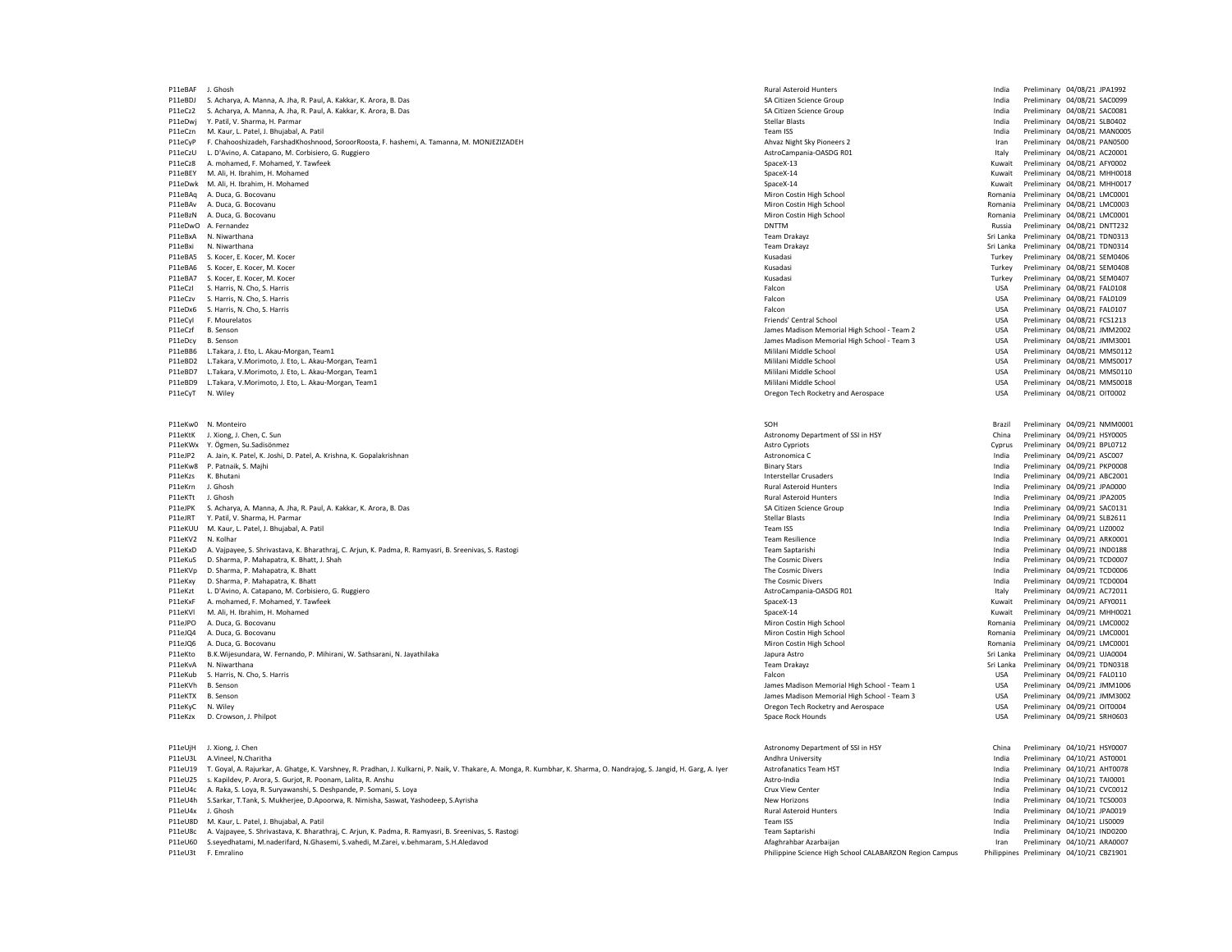P11eBAF J. Ghosh Rural Asteroid Hunters India Preliminary 04/08/21 JPA1992 P11eBDJ S. Acharya, A. Manna, A. Jha, R. Paul, A. Kakkar, K. Arora, B. Das SA Citizen Science Group India Preliminary 04/08/21 SAC0099 P11eCz2 S. Acharya, A. Manna, A. Jha, R. Paul, A. Kakkar, K. Arora, B. Das SA Citizen Science Group India Preliminary 04/08/21 SAC0081 P11eDwj Y. Patil, V. Sharma, H. Parmar Natural Andreas Andreas Stellar Blasts Stellar Blasts Stellar Blasts Stellar Blasts Stellar Blasts India Preliminary 04/08/21 SLB0402 P11eCzn M. Kaur, L. Patel, J. Bhujabal, A. Patil Patel, A. Patil A. Patil A. Patil A. Patil A. Patil A. Patel<br>P11eCzn M. Kaur, L. Patel, J. Bhujabal, A. Patil Patel, A. Patil Patel, A. Patel, A. Patil Preliminary 04/08/21 P11eCyP F. Chahooshizadeh, FarshadKhoshnood, SoroorRoosta, F. hashemi, A. Tamanna, M. MONJEZIZADEH Ahvaz Night Sky Pioneers 2 Ahvaz Night Sky Pioneers 2 Iran Preliminary 04/08/21 PAN0500<br>P11eCzU I. D'Avino A. Catanano M. C P11eCzU L. D'Avino, A. Catapano, M. Corbisiero, G. Ruggiero **AstroCampania-OASDG ROM** Preliminary 1998/21 AC20001<br>P11eCzB A. mohamed. F. Mohamed. Y. Tawfeek Astrocampania-OASDG ROM SpaceX-13 SpaceX-13 Nuwait Preliminary 04 P11eCz8 A. mohamed, F. Mohamed, Y. Tawfeek P11eBEY M. Ali, H. Ibrahim, H. Mohamed M. Ali, H. Ibrahim, H. Mohamed SpaceX-14 SpaceX-14 SpaceX-14 SpaceX-14 SpaceX-14 SpaceX-14 SpaceX-14 SpaceX-14 SpaceX-14 SpaceX-14 SpaceX-14 SpaceX-14 Kuwait Preliminary 04/08/21 MHH0 P11eDwk M. Ali, H. Ibrahim, H. Mohamed M. Ali, H. Ibrahim, H. Mohamed SpaceX-14 SpaceX-14 SpaceX-14 SpaceX-14 SpaceX-14 SpaceX-14 SpaceX-14 SpaceX-14 SpaceX-14 SpaceX-14 SpaceX-14 SpaceX-14 SpaceX-14 SpaceX-14 SpaceX-14 Sp P11eBAv A. Duca, G. Bocovanu 2010/08/21 LMC0003 Niron Costin High School Miron Costin High School Romania Preliminary 04/08/21 LMC0003 enden and the product of the Miron Costin High School (and the School Romania Preliminary 04/08/21 LMC0001 P11eDwO A. Fernandez<br>Priminary 1998/21 DNTTA22 Preliminary 04/08/21 DNTTA232 P11eBxA N. Niwarthana Team Drakayz Sri Lanka Preliminary 04/08/21 TDN0313 P11eBxi N. Niwarthana Team Drakayz Sri Lanka Preliminary 04/08/21 TDN0314 P11eBA5 S. Kocer, E. Kocer, M. Kocer M. Kocer Campana and S. Kocer, M. Kocer, M. Kocer, M. Kocer, M. Kocer (M. Kocer Campana and S. Kocer Campana and S. Kocer, M. Kocer Campana and S. Kocer Campana and S. Kocer Campana and P11eBA7 S. Kocer, E. Kocer, M. Kocer (M. Kocer Channel States of M. Rosen, M. Rosen, M. Rosen, M. Rosen, M. Kocer Channel States of M. Rosen, M. Kocer, E. Kocer, M. Kocer Channel States of Turkey Preliminary 04/08/21 SEM04 P11eCzI S. Harris, N. Cho, S. Harris Falcon USA Preliminary 04/08/21 FAL0108 P11eCzv S. Harris, N. Cho, S. Harris Falcon USA Preliminary 04/08/21 FAL0109 P11eDx6 S. Harris, N. Cho, S. Harris Falcon USA Preliminary 04/08/21 FAL0107 P11eCyI F. Mourelatos Friends' Central School Friends' Central School Central School Preliminary Communication<br>P11eCzf B. Senson USA Preliminary 04/08/21 IMM2002 P11eDcy B. Senson USA Preliminary 04/08/21 JMM3001<br>P11eBB6 L.Takara, J. Eto, L. Akau-Morgan, Team1 Preliminary 04/08/21 JMM3001 P11eBB6 L.Takara, J. Eto, L. Akau-Morgan, Team 1 P11eBB6 L.Takara, J. Eto, L. Akau-Morgan, Team1 eta, Lakau-Morgan, Team 1 eta alta eta alta eta alta eta alta eta alta eta alta eta alta eta alta eta alta eta alta eta alta eta alta eta alta eta alta eta alta eta alta eta P11eBD2 L.Takara, V.Morimoto, J. Eto, L. Akau-Morgan, Team1 Mililani Middle School Mililani Middle School Mililani Middle School USA Preliminary 04/08/21 MMS0017<br>P11eBD7 L.Takara, V.Morimoto, J. Eto, L. Akau-Morgan, Team1 P11eBD7 L.Takara, V.Morimoto, J. Eto, L. Akau-Morgan, Team1 Mililani Middle School Mililani Middle School School USA Preliminary 04/08/21 MMS0110<br>P11eBD9 L.Takara V.Morimoto L.Eto, L. Akau-Morgan, Team1 Mililani Middle Sch P11eBD9 L.Takara, V.Morimoto, J. Eto, L. Akau-Morgan, Team1 Milioni Middle School Mililani Middle School Mililani Middle School USA Preliminary 04/08/21 MMS001<br>P11eCvT N. Wiley USA Preliminary 04/08/21 OIT0002 P11eCyT N. Wiley Oregon Tech Rocketry and Aerospace USA Preliminary 04/08/21 OIT0002 P11eKw0 N. Monteiro SOH Brazil Preliminary 04/09/21 NMM0001 P11eKtK J. Xiong, J. Chen, C. Sun Preliminary 04/09/21 HSY0005<br>P11eKWx Y. Özmen. Su.Sadisönmez Preliminary 04/09/21 HSY0005 Preliminary 04/09/21 HSY0005 Preliminary 04/09/21 HSY0005 P11eJP2 A. Jain, K. Patel, K. Joshi, D. Patel, A. Krishna, K. Gopalakrishnan Astronomica C Preliminary and a Stronomica C India Preliminary 04/09/21 ASC007<br>P11eKw8 P. Patnaik, S. Majhi Ashrida Preliminary 04/09/21 PKP0008 P11eKw8 P. Patnaik, S. Majhi Binary Stars India Preliminary 04/09/21 PKP0008 P11eKzs K. Bhutani Interstellar Crusaders India Preliminary 04/09/21 ABC2001 P11eKrn J. Ghosh Rural Asteroid Hunters India Preliminary 04/09/21 JPA0000 PolekTt J. Ghosh Product Phanda Asteroid Hunters والمستخدم المستخدم المستخدم المستخدم المستخدم المستخدم المستخدم المستخدم المستخدم المستخدم المستخدم المستخدم المستخدم المستخدم المستخدم المستخدم المستخدم المستخدم المستخدم P11eJPK S. Acharya, A. Manna, A. Jha, R. Paul, A. Kakkar, K. Arora, B. Das SA Citizen Science Group SA Citizen Science Group SA Citizen Science Group India Preliminary 04/09/21 SAC0131<br>P11eJRT Y Patil V Sharma H Parmar 04 P11eJRT Y. Patil, V. Sharma, H. Parmar Natural Alexander Stellar Blasts Stellar Blasts Stellar Blasts Stellar Blasts Stellar Blasts Stellar Blasts India Preliminary 04/09/21 SLB2611 P11eKUU M. Kaur, L. Patel, J. Bhujabal, A. Patil and a Material and a material and a material preliminary of the message of the message of the message of the message of the message of the message of the message of the mess P11eKV2 N. Kolhar Team Resilience india Preliminary 04/09/21 ARK0001 ARK0001 P11eKxD A. Vajpayee, S. Shrivastava, K. Bharathrai, C. Ariun, K. Padma, R. Ramyasri, B. Sreenivas, S. Rastogi Team Saptarishi India Preliminary 04/09/21 IND0188 P11eKuS D. Sharma, P. Mahapatra, K. Bhatt, J. Shah The Cosmic Divers and The Cosmic Divers and Shah The Cosmic Divers and Divers and the Cosmic Divers and Divers and The Cosmic Divers and Divers and Preliminary 04/09/21 TC P11eKVp D. Sharma, P. Mahapatra, K. Bhatt Natural States and Manusculine and Manusculine and The Cosmic Divers The Cosmic Divers and the Cosmic Divers and the Preliminary 04/09/21 TCD0006<br>P11eKxy D. Sharma, P. Mahapatra, K P11eKxy D. Sharma, P. Mahapatra, K. Bhatt The Cosmic Physics of The Cosmic Divers and The Cosmic Divers P11eKxy D. Sharma, P. Mahapatra, A. Sharma, P. Mahapatra, K. Bhatt The Cosmic Divers India Preliminary 04/09/21 TCD000 P11eKzt L. D'Avino, A. Catapano, M. Corbisiero, G. Ruggiero **AstroCampania-OASDG ROM Preliminary 1999, Patat**o, A. Corbisiero, G. Ruggiero AstroCampania-OASDG ROM Preliminary 1999, 2116199/211 AC72011 AC72011 AC72011 ACTRO P11eKxF A. mohamed, F. Mohamed, Y. Tawfeek SpaceX-13 (SpaceX-13 Kuwait Preliminary 1992)<br>P11eKVl M. Ali, H. Ibrahim, H. Mohamed P11eJPO A. Duca, G. Bocovanu وA. Duca, G. Bocovanu Miron Costin High School وP11eJPO A. Duca, G. Bocovanu Preliminary 04/09/21 LMC0002<br>P11eJQ4 A. Duca, G. Bocovanu Preliminary 04/09/21 LMC0001 Preliminary 04/09/21 LMC0001 P11eJQ4 A. Duca, G. Bocovanu والمستحدث والمستحدث المستحدث والمستحدث المستحدث والمستحدث المستحدث المستحدث المستحدث المستحدث المستحدث المستحدث المستحدث المستحدث المستحدث المستحدث المستحدث المستحدث المستحدث المستحدث المستحدث P11eKto B.K.Wijesundara, W. Fernando, P. Mihirani, W. Sathsarani, N. Jayathilaka Japura Astro Sri Lanka Preliminary 1999, 21 UJA0004 P11eKto B.K.Wijesundara, W. Fernando, P. Mihirani, W. Sathsarani, N. Jayathilaka Japura A P11eKvA N. Niwarthana Team Drakayz Sri Lanka Preliminary 04/09/21 TDN0318 P11eKub S. Harris, N. Cho, S. Harris Falcon USA Preliminary 04/09/21 FAL0110 P11eKVh B. Senson James Madison Memorial High School - Team 1 USA Preliminary 04/09/21 JMM1006<br>P11eKTX B. Senson James Madison Memorial High School - Team 3 USA Preliminary 04/09/21 JMM1006 P11eKTX B. Senson James Madison Memorial High School - Team 3 USA Preliminary 04/09/21 JMM3002 P11eKyC N. Wiley Oregon Tech Rocketry and Aerospace USA Preliminary 04/09/21 OIT0004 P11eKzx D. Crowson, J. Philpot Natural Analysis of December 2012 of the Space Rock Hounds Space Rock Hounds Space Rock Hounds USA Preliminary 04/09/21 SRH0603 P11eUjH J. Xiong, J. Chen Preliminary 04/10/21 HSY0007<br>P11eU3L A.Vineel, N.Charitha Preliminary 04/10/21 AST0001 Partment of SSI in HSY Preliminary 04/10/21 AST0001<br>P11eU3L A.Vineel, N.Charitha Preliminary 04/10/21 AST0001 P11eU19 T. Goyal, A. Rajurkar, A. Ghatge, K. Varshney, R. Pradhan, J. Kulkarni, P. Naik, V. Thakare, A. Monga, R. Kumbhar, K. Sharma, O. Nandrajog, S. Jangid, H. Garg, A. Iyer Astrofanatics Team HST Andia P11eU25 s. Kapildev, P. Arora, S. Gurjot, R. Poonam, Lalita, R. Anshu Astro-India India Preliminary 04/10/21 TAI0001 P11eU4c A. Raka, S. Loya, R. Suryawanshi, S. Deshpande, P. Somani, S. Loya Crux Cruz Cruz View Commentary Commentary Cases and the Cruz View Center Cases of the Cruz View Center India Preliminary 04/10/21 CVC0012 CVC0012 C P11eU4h S.Sarkar, T.Tank, S. Mukherjee, D.Apoorwa, R. Nimisha, Saswat, Yashodeep, S.Ayrisha New Horizons India Preliminary 04/10/2015 P11eU4x J. Ghosh Rural Asteroid Hunters India Preliminary 04/10/21 JPA0019 P11eU8D M. Kaur, L. Patel, J. Bhujabal, A. Patil and States and Alexander States and States and States and States and Team ISS India Preliminary 04/10/21 LISO009<br>P11eU8c A. Vaipavee. S. Shrivastava. K. Bharathrai. C. Ariun P11eU8c A. Vajpayee, S. Shrivastava, K. Bharathraj, C. Arjun, K. Padma, R. Ramyasri, B. Sreenivas, S. Rastogi P11eU60 S.seyedhatami, M.naderifard, N.Ghasemi, S.vahedi, M.Zarei, v.behmaram, S.H.Aledavod American American Afaghrahbar Azarbaijan Afaghrahbar Azarbaijan Iran Preliminary 04/10/21 ARA0007<br>Philippine Science High School C P11leU3t F. Emralino **Philippine Science High School CALABARZON Region Campus** Philippine Science High School CALABARZON Region Campus

James Madison Memorial High School - Team 2 Miron Costin High School<br>P21 Expurs Astro Romania Preliminary 04/09/21 LMC0001<br>Sri Lanka Preliminary 04/09/21 LJJA0004 Poliminary 04/10/21 AST0001 Andhra University India Preliminary 04/10/21 AST0001<br>
Astrofanatics Team HST Andrea Preliminary 04/10/21 AHT0078

Romania Preliminary 04/08/21 LMC0001 Russia Preliminary 04/08/21 DNTT232<br>Sri Lanka Preliminary 04/08/21 TDN0313 Turkey Preliminary 04/08/21 SEM0408 Cyprus Preliminary 04/09/21 BPL0712<br>India Preliminary 04/09/21 ASC007 Kuwait Preliminary 04/09/21 MHH0021